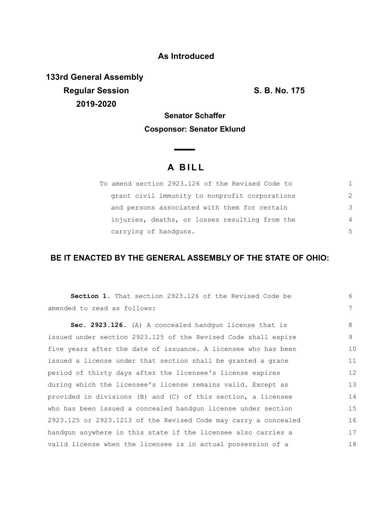### **As Introduced**

**133rd General Assembly Regular Session S. B. No. 175 2019-2020**

# **Senator Schaffer Cosponsor: Senator Eklund**

# **A B I L L**

 $\sim$ 

| To amend section 2923.126 of the Revised Code to |               |
|--------------------------------------------------|---------------|
| grant civil immunity to nonprofit corporations   | $\mathcal{L}$ |
| and persons associated with them for certain     | 3             |
| injuries, deaths, or losses resulting from the   | 4             |
| carrying of handguns.                            | .5            |

## **BE IT ENACTED BY THE GENERAL ASSEMBLY OF THE STATE OF OHIO:**

| Section 1. That section 2923.126 of the Revised Code be         | 6  |
|-----------------------------------------------------------------|----|
| amended to read as follows:                                     | 7  |
| Sec. 2923.126. (A) A concealed handgun license that is          | 8  |
| issued under section 2923.125 of the Revised Code shall expire  | 9  |
| five years after the date of issuance. A licensee who has been  | 10 |
| issued a license under that section shall be granted a grace    | 11 |
| period of thirty days after the licensee's license expires      | 12 |
| during which the licensee's license remains valid. Except as    | 13 |
| provided in divisions (B) and (C) of this section, a licensee   | 14 |
| who has been issued a concealed handqun license under section   | 15 |
| 2923.125 or 2923.1213 of the Revised Code may carry a concealed | 16 |
| handqun anywhere in this state if the licensee also carries a   | 17 |
| valid license when the licensee is in actual possession of a    | 18 |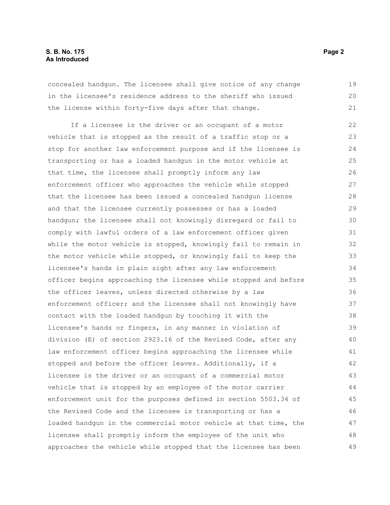#### **S. B. No. 175 Page 2 As Introduced**

concealed handgun. The licensee shall give notice of any change in the licensee's residence address to the sheriff who issued the license within forty-five days after that change. 19 20

If a licensee is the driver or an occupant of a motor vehicle that is stopped as the result of a traffic stop or a stop for another law enforcement purpose and if the licensee is transporting or has a loaded handgun in the motor vehicle at that time, the licensee shall promptly inform any law enforcement officer who approaches the vehicle while stopped that the licensee has been issued a concealed handgun license and that the licensee currently possesses or has a loaded handgun; the licensee shall not knowingly disregard or fail to comply with lawful orders of a law enforcement officer given while the motor vehicle is stopped, knowingly fail to remain in the motor vehicle while stopped, or knowingly fail to keep the licensee's hands in plain sight after any law enforcement officer begins approaching the licensee while stopped and before the officer leaves, unless directed otherwise by a law enforcement officer; and the licensee shall not knowingly have contact with the loaded handgun by touching it with the licensee's hands or fingers, in any manner in violation of division (E) of section 2923.16 of the Revised Code, after any law enforcement officer begins approaching the licensee while stopped and before the officer leaves. Additionally, if a licensee is the driver or an occupant of a commercial motor vehicle that is stopped by an employee of the motor carrier enforcement unit for the purposes defined in section 5503.34 of the Revised Code and the licensee is transporting or has a loaded handgun in the commercial motor vehicle at that time, the licensee shall promptly inform the employee of the unit who approaches the vehicle while stopped that the licensee has been 22 23 24 25 26 27 28 29 30 31 32 33 34 35 36 37 38 39 40 41 42 43 44 45 46 47 48 49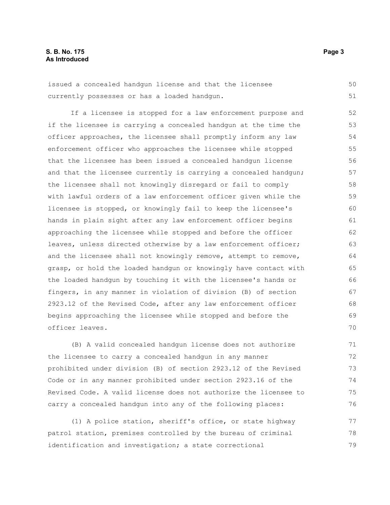#### **S. B. No. 175 Page 3 As Introduced**

issued a concealed handgun license and that the licensee currently possesses or has a loaded handgun. 50 51

If a licensee is stopped for a law enforcement purpose and if the licensee is carrying a concealed handgun at the time the officer approaches, the licensee shall promptly inform any law enforcement officer who approaches the licensee while stopped that the licensee has been issued a concealed handgun license and that the licensee currently is carrying a concealed handgun; the licensee shall not knowingly disregard or fail to comply with lawful orders of a law enforcement officer given while the licensee is stopped, or knowingly fail to keep the licensee's hands in plain sight after any law enforcement officer begins approaching the licensee while stopped and before the officer leaves, unless directed otherwise by a law enforcement officer; and the licensee shall not knowingly remove, attempt to remove, grasp, or hold the loaded handgun or knowingly have contact with the loaded handgun by touching it with the licensee's hands or fingers, in any manner in violation of division (B) of section 2923.12 of the Revised Code, after any law enforcement officer begins approaching the licensee while stopped and before the officer leaves. 52 53 54 55 56 57 58 59 60 61 62 63 64 65 66 67 68 69 70

(B) A valid concealed handgun license does not authorize the licensee to carry a concealed handgun in any manner prohibited under division (B) of section 2923.12 of the Revised Code or in any manner prohibited under section 2923.16 of the Revised Code. A valid license does not authorize the licensee to carry a concealed handgun into any of the following places: 71 72 73 74 75 76

(1) A police station, sheriff's office, or state highway patrol station, premises controlled by the bureau of criminal identification and investigation; a state correctional 77 78 79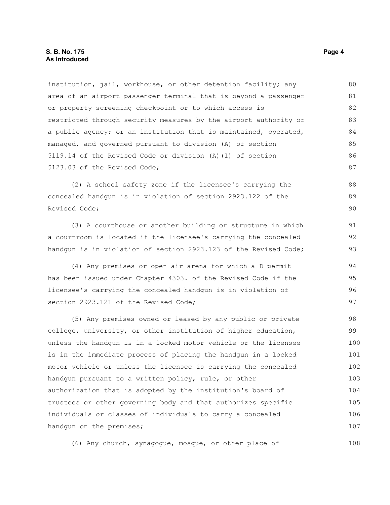institution, jail, workhouse, or other detention facility; any area of an airport passenger terminal that is beyond a passenger or property screening checkpoint or to which access is restricted through security measures by the airport authority or a public agency; or an institution that is maintained, operated, managed, and governed pursuant to division (A) of section 5119.14 of the Revised Code or division (A)(1) of section 5123.03 of the Revised Code; 80 81 82 83 84 85 86 87

(2) A school safety zone if the licensee's carrying the concealed handgun is in violation of section 2923.122 of the Revised Code;

(3) A courthouse or another building or structure in which a courtroom is located if the licensee's carrying the concealed handgun is in violation of section 2923.123 of the Revised Code;

(4) Any premises or open air arena for which a D permit has been issued under Chapter 4303. of the Revised Code if the licensee's carrying the concealed handgun is in violation of section 2923.121 of the Revised Code;

(5) Any premises owned or leased by any public or private college, university, or other institution of higher education, unless the handgun is in a locked motor vehicle or the licensee is in the immediate process of placing the handgun in a locked motor vehicle or unless the licensee is carrying the concealed handgun pursuant to a written policy, rule, or other authorization that is adopted by the institution's board of trustees or other governing body and that authorizes specific individuals or classes of individuals to carry a concealed handgun on the premises; 98 99 100 101 102 103 104 105 106 107

(6) Any church, synagogue, mosque, or other place of

88 89 90

91 92 93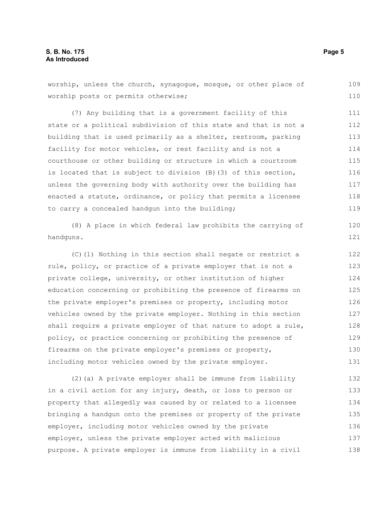worship, unless the church, synagogue, mosque, or other place of worship posts or permits otherwise; (7) Any building that is a government facility of this state or a political subdivision of this state and that is not a building that is used primarily as a shelter, restroom, parking facility for motor vehicles, or rest facility and is not a courthouse or other building or structure in which a courtroom is located that is subject to division (B)(3) of this section, unless the governing body with authority over the building has enacted a statute, ordinance, or policy that permits a licensee to carry a concealed handgun into the building; (8) A place in which federal law prohibits the carrying of handguns. (C)(1) Nothing in this section shall negate or restrict a 109 110 111 112 113 114 115 116 117 118 119 120 121 122

rule, policy, or practice of a private employer that is not a private college, university, or other institution of higher education concerning or prohibiting the presence of firearms on the private employer's premises or property, including motor vehicles owned by the private employer. Nothing in this section shall require a private employer of that nature to adopt a rule, policy, or practice concerning or prohibiting the presence of firearms on the private employer's premises or property, including motor vehicles owned by the private employer. 123 124 125 126 127 128 129 130 131

(2)(a) A private employer shall be immune from liability in a civil action for any injury, death, or loss to person or property that allegedly was caused by or related to a licensee bringing a handgun onto the premises or property of the private employer, including motor vehicles owned by the private employer, unless the private employer acted with malicious purpose. A private employer is immune from liability in a civil 132 133 134 135 136 137 138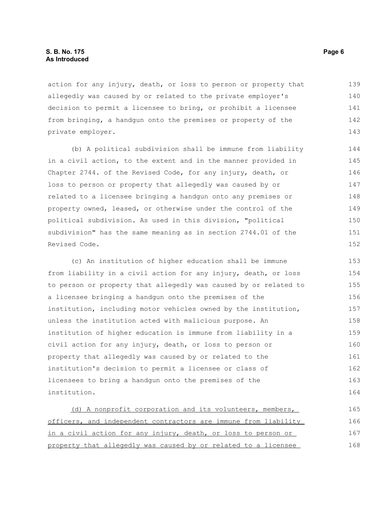action for any injury, death, or loss to person or property that allegedly was caused by or related to the private employer's decision to permit a licensee to bring, or prohibit a licensee from bringing, a handgun onto the premises or property of the private employer. 139 140 141 142 143

(b) A political subdivision shall be immune from liability in a civil action, to the extent and in the manner provided in Chapter 2744. of the Revised Code, for any injury, death, or loss to person or property that allegedly was caused by or related to a licensee bringing a handgun onto any premises or property owned, leased, or otherwise under the control of the political subdivision. As used in this division, "political subdivision" has the same meaning as in section 2744.01 of the Revised Code. 144 145 146 147 148 149 150 151 152

(c) An institution of higher education shall be immune from liability in a civil action for any injury, death, or loss to person or property that allegedly was caused by or related to a licensee bringing a handgun onto the premises of the institution, including motor vehicles owned by the institution, unless the institution acted with malicious purpose. An institution of higher education is immune from liability in a civil action for any injury, death, or loss to person or property that allegedly was caused by or related to the institution's decision to permit a licensee or class of licensees to bring a handgun onto the premises of the institution. 153 154 155 156 157 158 159 160 161 162 163 164

(d) A nonprofit corporation and its volunteers, members, officers, and independent contractors are immune from liability in a civil action for any injury, death, or loss to person or property that allegedly was caused by or related to a licensee 165 166 167 168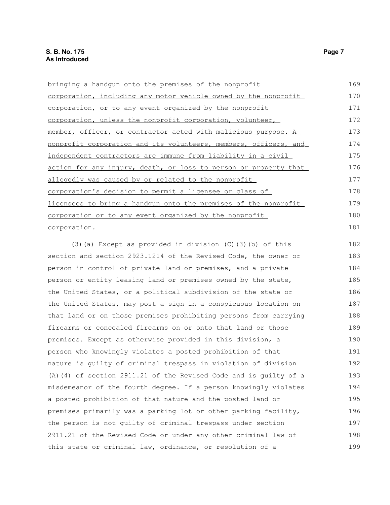bringing a handgun onto the premises of the nonprofit corporation, including any motor vehicle owned by the nonprofit corporation, or to any event organized by the nonprofit corporation, unless the nonprofit corporation, volunteer, member, officer, or contractor acted with malicious purpose. A nonprofit corporation and its volunteers, members, officers, and independent contractors are immune from liability in a civil action for any injury, death, or loss to person or property that allegedly was caused by or related to the nonprofit corporation's decision to permit a licensee or class of licensees to bring a handgun onto the premises of the nonprofit corporation or to any event organized by the nonprofit corporation. 169 170 171 172 173 174 175 176 177 178 179 180 181

(3)(a) Except as provided in division (C)(3)(b) of this section and section 2923.1214 of the Revised Code, the owner or person in control of private land or premises, and a private person or entity leasing land or premises owned by the state, the United States, or a political subdivision of the state or the United States, may post a sign in a conspicuous location on that land or on those premises prohibiting persons from carrying firearms or concealed firearms on or onto that land or those premises. Except as otherwise provided in this division, a person who knowingly violates a posted prohibition of that nature is guilty of criminal trespass in violation of division (A)(4) of section 2911.21 of the Revised Code and is guilty of a misdemeanor of the fourth degree. If a person knowingly violates a posted prohibition of that nature and the posted land or premises primarily was a parking lot or other parking facility, the person is not guilty of criminal trespass under section 2911.21 of the Revised Code or under any other criminal law of this state or criminal law, ordinance, or resolution of a 182 183 184 185 186 187 188 189 190 191 192 193 194 195 196 197 198 199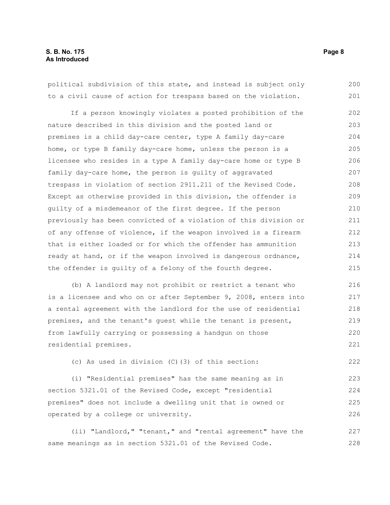#### **S. B. No. 175 Page 8 As Introduced**

political subdivision of this state, and instead is subject only to a civil cause of action for trespass based on the violation. 200 201

If a person knowingly violates a posted prohibition of the nature described in this division and the posted land or premises is a child day-care center, type A family day-care home, or type B family day-care home, unless the person is a licensee who resides in a type A family day-care home or type B family day-care home, the person is guilty of aggravated trespass in violation of section 2911.211 of the Revised Code. Except as otherwise provided in this division, the offender is guilty of a misdemeanor of the first degree. If the person previously has been convicted of a violation of this division or of any offense of violence, if the weapon involved is a firearm that is either loaded or for which the offender has ammunition ready at hand, or if the weapon involved is dangerous ordnance, the offender is guilty of a felony of the fourth degree. 202 203 204 205 206 207 208 209 210 211 212 213 214 215

(b) A landlord may not prohibit or restrict a tenant who is a licensee and who on or after September 9, 2008, enters into a rental agreement with the landlord for the use of residential premises, and the tenant's guest while the tenant is present, from lawfully carrying or possessing a handgun on those residential premises. 216 217 218 219 220 221

(c) As used in division (C)(3) of this section:

(i) "Residential premises" has the same meaning as in section 5321.01 of the Revised Code, except "residential premises" does not include a dwelling unit that is owned or operated by a college or university. 223 224 225 226

(ii) "Landlord," "tenant," and "rental agreement" have the same meanings as in section 5321.01 of the Revised Code. 227 228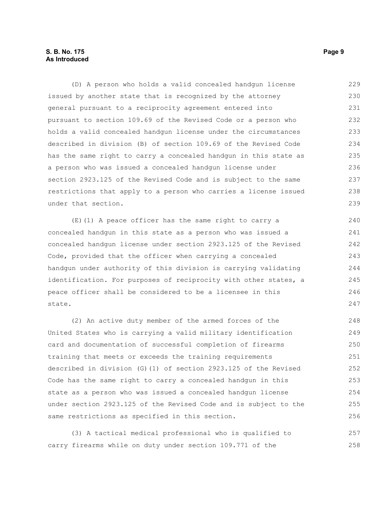#### **S. B. No. 175 Page 9 As Introduced**

(D) A person who holds a valid concealed handgun license issued by another state that is recognized by the attorney general pursuant to a reciprocity agreement entered into pursuant to section 109.69 of the Revised Code or a person who holds a valid concealed handgun license under the circumstances described in division (B) of section 109.69 of the Revised Code has the same right to carry a concealed handgun in this state as a person who was issued a concealed handgun license under section 2923.125 of the Revised Code and is subject to the same restrictions that apply to a person who carries a license issued under that section. 229 230 231 232 233 234 235 236 237 238 239

(E)(1) A peace officer has the same right to carry a concealed handgun in this state as a person who was issued a concealed handgun license under section 2923.125 of the Revised Code, provided that the officer when carrying a concealed handgun under authority of this division is carrying validating identification. For purposes of reciprocity with other states, a peace officer shall be considered to be a licensee in this state.

(2) An active duty member of the armed forces of the United States who is carrying a valid military identification card and documentation of successful completion of firearms training that meets or exceeds the training requirements described in division (G)(1) of section 2923.125 of the Revised Code has the same right to carry a concealed handgun in this state as a person who was issued a concealed handgun license under section 2923.125 of the Revised Code and is subject to the same restrictions as specified in this section. 248 249 250 251 252 253 254 255 256

(3) A tactical medical professional who is qualified to carry firearms while on duty under section 109.771 of the 257 258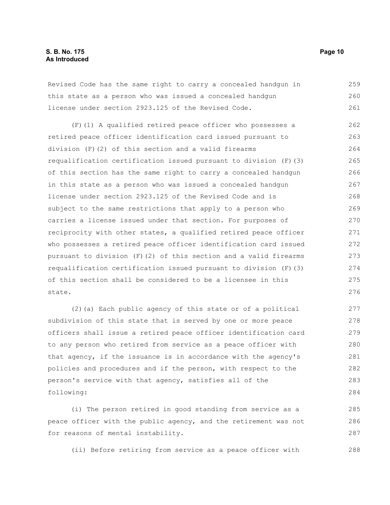Revised Code has the same right to carry a concealed handgun in this state as a person who was issued a concealed handgun license under section 2923.125 of the Revised Code. 259 260 261

(F)(1) A qualified retired peace officer who possesses a retired peace officer identification card issued pursuant to division (F)(2) of this section and a valid firearms requalification certification issued pursuant to division  $(F)$  (3) of this section has the same right to carry a concealed handgun in this state as a person who was issued a concealed handgun license under section 2923.125 of the Revised Code and is subject to the same restrictions that apply to a person who carries a license issued under that section. For purposes of reciprocity with other states, a qualified retired peace officer who possesses a retired peace officer identification card issued pursuant to division (F)(2) of this section and a valid firearms requalification certification issued pursuant to division (F)(3) of this section shall be considered to be a licensee in this state. 262 263 264 265 266 267 268 269 270 271 272 273 274 275 276

(2)(a) Each public agency of this state or of a political subdivision of this state that is served by one or more peace officers shall issue a retired peace officer identification card to any person who retired from service as a peace officer with that agency, if the issuance is in accordance with the agency's policies and procedures and if the person, with respect to the person's service with that agency, satisfies all of the following:

(i) The person retired in good standing from service as a peace officer with the public agency, and the retirement was not for reasons of mental instability. 285 286 287

(ii) Before retiring from service as a peace officer with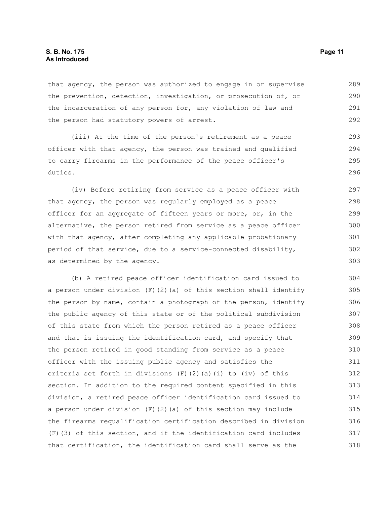that agency, the person was authorized to engage in or supervise the prevention, detection, investigation, or prosecution of, or the incarceration of any person for, any violation of law and the person had statutory powers of arrest. 289 290 291 292

(iii) At the time of the person's retirement as a peace officer with that agency, the person was trained and qualified to carry firearms in the performance of the peace officer's duties.

(iv) Before retiring from service as a peace officer with that agency, the person was regularly employed as a peace officer for an aggregate of fifteen years or more, or, in the alternative, the person retired from service as a peace officer with that agency, after completing any applicable probationary period of that service, due to a service-connected disability, as determined by the agency. 297 298 299 300 301 302 303

(b) A retired peace officer identification card issued to a person under division  $(F)(2)(a)$  of this section shall identify the person by name, contain a photograph of the person, identify the public agency of this state or of the political subdivision of this state from which the person retired as a peace officer and that is issuing the identification card, and specify that the person retired in good standing from service as a peace officer with the issuing public agency and satisfies the criteria set forth in divisions  $(F)(2)(a)(i)$  to (iv) of this section. In addition to the required content specified in this division, a retired peace officer identification card issued to a person under division (F)(2)(a) of this section may include the firearms requalification certification described in division (F)(3) of this section, and if the identification card includes that certification, the identification card shall serve as the 304 305 306 307 308 309 310 311 312 313 314 315 316 317 318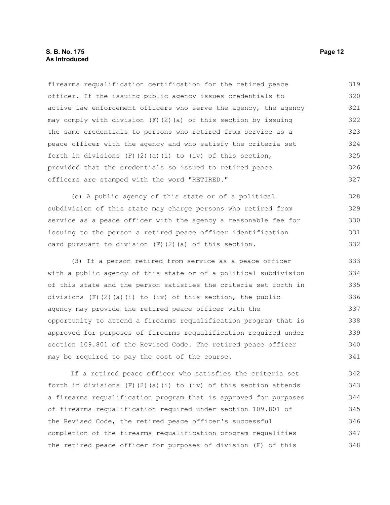#### **S. B. No. 175 Page 12 As Introduced**

firearms requalification certification for the retired peace officer. If the issuing public agency issues credentials to active law enforcement officers who serve the agency, the agency may comply with division (F)(2)(a) of this section by issuing the same credentials to persons who retired from service as a peace officer with the agency and who satisfy the criteria set forth in divisions  $(F)$  (2)(a)(i) to (iv) of this section, provided that the credentials so issued to retired peace officers are stamped with the word "RETIRED." 319 320 321 322 323 324 325 326 327

(c) A public agency of this state or of a political subdivision of this state may charge persons who retired from service as a peace officer with the agency a reasonable fee for issuing to the person a retired peace officer identification card pursuant to division (F)(2)(a) of this section. 328 329 330 331 332

(3) If a person retired from service as a peace officer with a public agency of this state or of a political subdivision of this state and the person satisfies the criteria set forth in divisions  $(F)$  (2)(a)(i) to (iv) of this section, the public agency may provide the retired peace officer with the opportunity to attend a firearms requalification program that is approved for purposes of firearms requalification required under section 109.801 of the Revised Code. The retired peace officer may be required to pay the cost of the course. 333 334 335 336 337 338 339 340 341

If a retired peace officer who satisfies the criteria set forth in divisions  $(F)(2)(a)(i)$  to  $(iv)$  of this section attends a firearms requalification program that is approved for purposes of firearms requalification required under section 109.801 of the Revised Code, the retired peace officer's successful completion of the firearms requalification program requalifies the retired peace officer for purposes of division (F) of this 342 343 344 345 346 347 348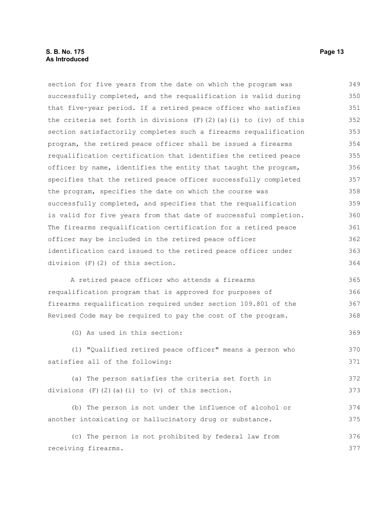section for five years from the date on which the program was successfully completed, and the requalification is valid during that five-year period. If a retired peace officer who satisfies the criteria set forth in divisions  $(F)(2)(a)(i)$  to  $(iv)$  of this section satisfactorily completes such a firearms requalification program, the retired peace officer shall be issued a firearms requalification certification that identifies the retired peace officer by name, identifies the entity that taught the program, specifies that the retired peace officer successfully completed the program, specifies the date on which the course was successfully completed, and specifies that the requalification is valid for five years from that date of successful completion. The firearms requalification certification for a retired peace officer may be included in the retired peace officer identification card issued to the retired peace officer under division (F)(2) of this section. A retired peace officer who attends a firearms requalification program that is approved for purposes of firearms requalification required under section 109.801 of the Revised Code may be required to pay the cost of the program. (G) As used in this section: (1) "Qualified retired peace officer" means a person who satisfies all of the following: (a) The person satisfies the criteria set forth in divisions (F)(2)(a)(i) to (v) of this section. (b) The person is not under the influence of alcohol or another intoxicating or hallucinatory drug or substance. (c) The person is not prohibited by federal law from receiving firearms. 349 350 351 352 353 354 355 356 357 358 359 360 361 362 363 364 365 366 367 368 369 370 371 372 373 374 375 376 377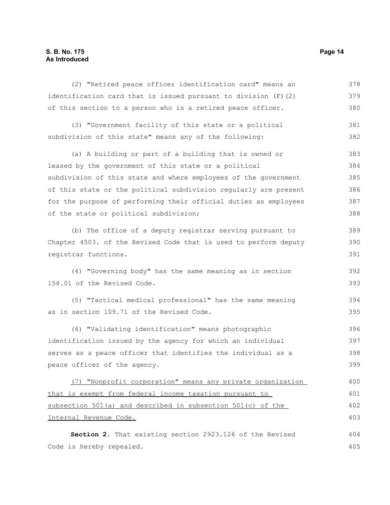### **S. B. No. 175 Page 14 As Introduced**

| (2) "Retired peace officer identification card" means an         | 378 |
|------------------------------------------------------------------|-----|
| identification card that is issued pursuant to division (F) (2)  | 379 |
| of this section to a person who is a retired peace officer.      | 380 |
| (3) "Government facility of this state or a political            | 381 |
| subdivision of this state" means any of the following:           | 382 |
| (a) A building or part of a building that is owned or            | 383 |
| leased by the government of this state or a political            | 384 |
| subdivision of this state and where employees of the government  | 385 |
| of this state or the political subdivision regularly are present | 386 |
| for the purpose of performing their official duties as employees | 387 |
| of the state or political subdivision;                           | 388 |
| (b) The office of a deputy registrar serving pursuant to         | 389 |
| Chapter 4503. of the Revised Code that is used to perform deputy | 390 |
| registrar functions.                                             | 391 |
| (4) "Governing body" has the same meaning as in section          | 392 |
| 154.01 of the Revised Code.                                      | 393 |
| (5) "Tactical medical professional" has the same meaning         | 394 |
| as in section 109.71 of the Revised Code.                        | 395 |
| (6) "Validating identification" means photographic               | 396 |
| identification issued by the agency for which an individual      | 397 |
| serves as a peace officer that identifies the individual as a    | 398 |
| peace officer of the agency.                                     | 399 |
| (7) "Nonprofit corporation" means any private organization       | 400 |
| that is exempt from federal income taxation pursuant to          | 401 |
| subsection 501(a) and described in subsection 501(c) of the      | 402 |
| Internal Revenue Code.                                           | 403 |
| Section 2. That existing section 2923.126 of the Revised         | 404 |

**Section 2.** That existing section 2923.126 of the Revised Code is hereby repealed.